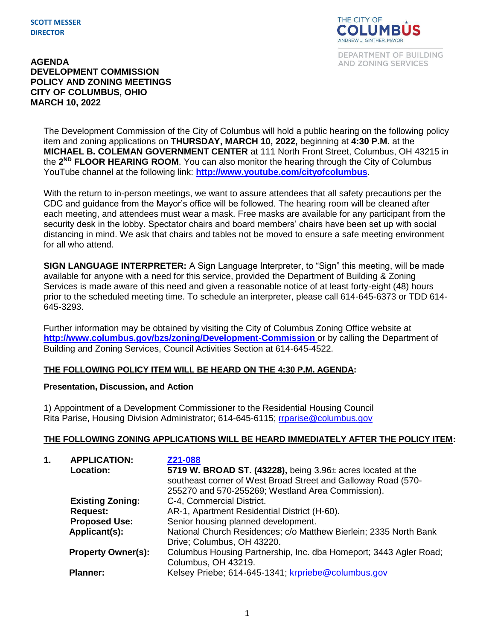

DEPARTMENT OF BUILDING AND ZONING SERVICES

#### **AGENDA DEVELOPMENT COMMISSION POLICY AND ZONING MEETINGS CITY OF COLUMBUS, OHIO MARCH 10, 2022**

The Development Commission of the City of Columbus will hold a public hearing on the following policy item and zoning applications on **THURSDAY, MARCH 10, 2022,** beginning at **4:30 P.M.** at the **MICHAEL B. COLEMAN GOVERNMENT CENTER** at 111 North Front Street, Columbus, OH 43215 in the 2<sup>ND</sup> FLOOR HEARING ROOM. You can also monitor the hearing through the City of Columbus YouTube channel at the following link: **<http://www.youtube.com/cityofcolumbus>**.

With the return to in-person meetings, we want to assure attendees that all safety precautions per the CDC and guidance from the Mayor's office will be followed. The hearing room will be cleaned after each meeting, and attendees must wear a mask. Free masks are available for any participant from the security desk in the lobby. Spectator chairs and board members' chairs have been set up with social distancing in mind. We ask that chairs and tables not be moved to ensure a safe meeting environment for all who attend.

**SIGN LANGUAGE INTERPRETER:** A Sign Language Interpreter, to "Sign" this meeting, will be made available for anyone with a need for this service, provided the Department of Building & Zoning Services is made aware of this need and given a reasonable notice of at least forty-eight (48) hours prior to the scheduled meeting time. To schedule an interpreter, please call 614-645-6373 or TDD 614- 645-3293.

Further information may be obtained by visiting the City of Columbus Zoning Office website at **http://www.columbus.gov/bzs/zoning/Development-Commission** or by calling the Department of Building and Zoning Services, Council Activities Section at 614-645-4522.

# **THE FOLLOWING POLICY ITEM WILL BE HEARD ON THE 4:30 P.M. AGENDA:**

# **Presentation, Discussion, and Action**

1) Appointment of a Development Commissioner to the Residential Housing Council Rita Parise, Housing Division Administrator; 614-645-6115; [rrparise@columbus.gov](mailto:rrparise@columbus.gov)

# **THE FOLLOWING ZONING APPLICATIONS WILL BE HEARD IMMEDIATELY AFTER THE POLICY ITEM:**

| 1. | <b>APPLICATION:</b>       | Z21-088                                                           |
|----|---------------------------|-------------------------------------------------------------------|
|    | <b>Location:</b>          | 5719 W. BROAD ST. (43228), being 3.96± acres located at the       |
|    |                           | southeast corner of West Broad Street and Galloway Road (570-     |
|    |                           | 255270 and 570-255269; Westland Area Commission).                 |
|    | <b>Existing Zoning:</b>   | C-4, Commercial District.                                         |
|    | <b>Request:</b>           | AR-1, Apartment Residential District (H-60).                      |
|    | <b>Proposed Use:</b>      | Senior housing planned development.                               |
|    | Applicant(s):             | National Church Residences; c/o Matthew Bierlein; 2335 North Bank |
|    |                           | Drive; Columbus, OH 43220.                                        |
|    | <b>Property Owner(s):</b> | Columbus Housing Partnership, Inc. dba Homeport; 3443 Agler Road; |
|    |                           | Columbus, OH 43219.                                               |
|    | <b>Planner:</b>           | Kelsey Priebe; 614-645-1341; krpriebe@columbus.gov                |
|    |                           |                                                                   |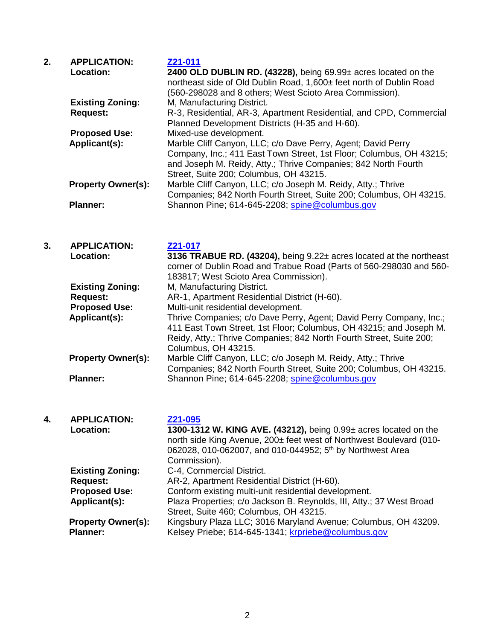| 2. | <b>APPLICATION:</b><br>Location: | Z21-011<br>2400 OLD DUBLIN RD. (43228), being $69.99\pm$ acres located on the<br>northeast side of Old Dublin Road, 1,600± feet north of Dublin Road<br>(560-298028 and 8 others; West Scioto Area Commission).                                 |  |  |
|----|----------------------------------|-------------------------------------------------------------------------------------------------------------------------------------------------------------------------------------------------------------------------------------------------|--|--|
|    | <b>Existing Zoning:</b>          | M, Manufacturing District.                                                                                                                                                                                                                      |  |  |
|    | <b>Request:</b>                  | R-3, Residential, AR-3, Apartment Residential, and CPD, Commercial<br>Planned Development Districts (H-35 and H-60).                                                                                                                            |  |  |
|    | <b>Proposed Use:</b>             | Mixed-use development.                                                                                                                                                                                                                          |  |  |
|    | Applicant(s):                    | Marble Cliff Canyon, LLC; c/o Dave Perry, Agent; David Perry<br>Company, Inc.; 411 East Town Street, 1st Floor; Columbus, OH 43215;<br>and Joseph M. Reidy, Atty.; Thrive Companies; 842 North Fourth<br>Street, Suite 200; Columbus, OH 43215. |  |  |
|    | <b>Property Owner(s):</b>        | Marble Cliff Canyon, LLC; c/o Joseph M. Reidy, Atty.; Thrive<br>Companies; 842 North Fourth Street, Suite 200; Columbus, OH 43215.                                                                                                              |  |  |
|    | <b>Planner:</b>                  | Shannon Pine; 614-645-2208; spine@columbus.gov                                                                                                                                                                                                  |  |  |

| 3. | <b>APPLICATION:</b><br>Location: | Z21-017<br>3136 TRABUE RD. (43204), being 9.22± acres located at the northeast<br>corner of Dublin Road and Trabue Road (Parts of 560-298030 and 560-<br>183817; West Scioto Area Commission).                                          |  |  |
|----|----------------------------------|-----------------------------------------------------------------------------------------------------------------------------------------------------------------------------------------------------------------------------------------|--|--|
|    | <b>Existing Zoning:</b>          | M, Manufacturing District.                                                                                                                                                                                                              |  |  |
|    | <b>Request:</b>                  | AR-1, Apartment Residential District (H-60).                                                                                                                                                                                            |  |  |
|    | <b>Proposed Use:</b>             | Multi-unit residential development.                                                                                                                                                                                                     |  |  |
|    | Applicant(s):                    | Thrive Companies; c/o Dave Perry, Agent; David Perry Company, Inc.;<br>411 East Town Street, 1st Floor; Columbus, OH 43215; and Joseph M.<br>Reidy, Atty.; Thrive Companies; 842 North Fourth Street, Suite 200;<br>Columbus, OH 43215. |  |  |
|    | <b>Property Owner(s):</b>        | Marble Cliff Canyon, LLC; c/o Joseph M. Reidy, Atty.; Thrive<br>Companies; 842 North Fourth Street, Suite 200; Columbus, OH 43215.                                                                                                      |  |  |
|    | <b>Planner:</b>                  | Shannon Pine; 614-645-2208; spine@columbus.gov                                                                                                                                                                                          |  |  |

# **4. APPLICATION: [Z21-095](https://portal.columbus.gov/permits/urlrouting.ashx?type=1000&Module=Zoning&capID1=21LAC&capID2=00000&capID3=01102&agencyCode=COLUMBUS&HideHeader=true) Location: 1300-1312 W. KING AVE. (43212),** being 0.99± acres located on the north side King Avenue, 200± feet west of Northwest Boulevard (010- 062028, 010-062007, and 010-044952; 5<sup>th</sup> by Northwest Area Commission). **Existing Zoning:** C-4, Commercial District. **Request:** AR-2, Apartment Residential District (H-60). **Proposed Use:** Conform existing multi-unit residential development. **Applicant(s):** Plaza Properties; c/o Jackson B. Reynolds, III, Atty.; 37 West Broad Street, Suite 460; Columbus, OH 43215. **Property Owner(s):** Kingsbury Plaza LLC; 3016 Maryland Avenue; Columbus, OH 43209. Planner: Kelsey Priebe; 614-645-1341; [krpriebe@columbus.gov](mailto:krpriebe@columbus.gov)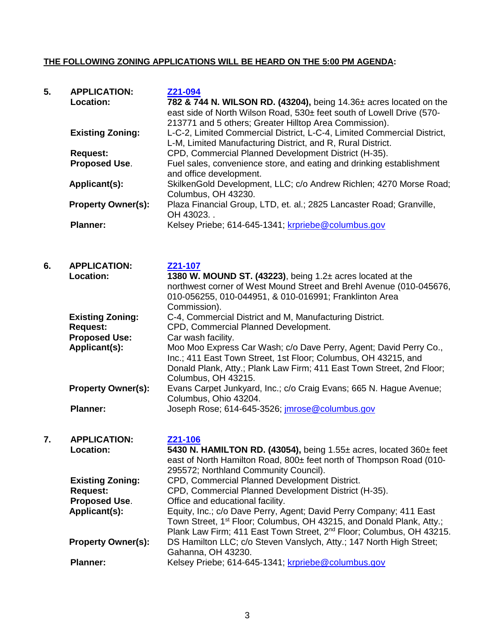#### **THE FOLLOWING ZONING APPLICATIONS WILL BE HEARD ON THE 5:00 PM AGENDA:**

| 5. | <b>APPLICATION:</b><br>Location: | Z21-094<br>782 & 744 N. WILSON RD. (43204), being 14.36± acres located on the<br>east side of North Wilson Road, 530± feet south of Lowell Drive (570-<br>213771 and 5 others; Greater Hilltop Area Commission).<br>L-C-2, Limited Commercial District, L-C-4, Limited Commercial District,<br>L-M, Limited Manufacturing District, and R, Rural District. |  |  |
|----|----------------------------------|------------------------------------------------------------------------------------------------------------------------------------------------------------------------------------------------------------------------------------------------------------------------------------------------------------------------------------------------------------|--|--|
|    | <b>Existing Zoning:</b>          |                                                                                                                                                                                                                                                                                                                                                            |  |  |
|    | <b>Request:</b>                  | CPD, Commercial Planned Development District (H-35).                                                                                                                                                                                                                                                                                                       |  |  |
|    | Proposed Use.                    | Fuel sales, convenience store, and eating and drinking establishment<br>and office development.                                                                                                                                                                                                                                                            |  |  |
|    | Applicant(s):                    | SkilkenGold Development, LLC; c/o Andrew Richlen; 4270 Morse Road;<br>Columbus, OH 43230.                                                                                                                                                                                                                                                                  |  |  |
|    | <b>Property Owner(s):</b>        | Plaza Financial Group, LTD, et. al.; 2825 Lancaster Road; Granville,<br>OH 43023.                                                                                                                                                                                                                                                                          |  |  |
|    | <b>Planner:</b>                  | Kelsey Priebe; 614-645-1341; krpriebe@columbus.gov                                                                                                                                                                                                                                                                                                         |  |  |
| 6. | <b>APPLICATION:</b><br>Location: | Z21-107                                                                                                                                                                                                                                                                                                                                                    |  |  |
|    |                                  | 1380 W. MOUND ST. (43223), being 1.2± acres located at the<br>northwest corner of West Mound Street and Brehl Avenue (010-045676,<br>010-056255, 010-044951, & 010-016991; Franklinton Area<br>Commission).                                                                                                                                                |  |  |
|    | <b>Existing Zoning:</b>          | C-4, Commercial District and M, Manufacturing District.                                                                                                                                                                                                                                                                                                    |  |  |
|    | <b>Request:</b>                  | CPD, Commercial Planned Development.                                                                                                                                                                                                                                                                                                                       |  |  |
|    | <b>Proposed Use:</b>             | Car wash facility.                                                                                                                                                                                                                                                                                                                                         |  |  |
|    | Applicant(s):                    | Moo Moo Express Car Wash; c/o Dave Perry, Agent; David Perry Co.,<br>Inc.; 411 East Town Street, 1st Floor; Columbus, OH 43215, and<br>Donald Plank, Atty.; Plank Law Firm; 411 East Town Street, 2nd Floor;<br>Columbus, OH 43215.                                                                                                                        |  |  |
|    | <b>Property Owner(s):</b>        | Evans Carpet Junkyard, Inc.; c/o Craig Evans; 665 N. Hague Avenue;<br>Columbus, Ohio 43204.                                                                                                                                                                                                                                                                |  |  |
|    | <b>Planner:</b>                  | Joseph Rose; 614-645-3526; imrose@columbus.gov                                                                                                                                                                                                                                                                                                             |  |  |
| 7. | <b>APPLICATION:</b>              | Z21-106                                                                                                                                                                                                                                                                                                                                                    |  |  |
|    | Location:                        | 5430 N. HAMILTON RD. (43054), being 1.55± acres, located 360± feet<br>east of North Hamilton Road, 800± feet north of Thompson Road (010-<br>295572; Northland Community Council).                                                                                                                                                                         |  |  |
|    | <b>Existing Zoning:</b>          | CPD, Commercial Planned Development District.                                                                                                                                                                                                                                                                                                              |  |  |
|    | <b>Request:</b>                  | CPD, Commercial Planned Development District (H-35).                                                                                                                                                                                                                                                                                                       |  |  |

3

**Applicant(s):** Equity, Inc.; c/o Dave Perry, Agent; David Perry Company; 411 East

**Property Owner(s):** DS Hamilton LLC; c/o Steven Vanslych, Atty.; 147 North High Street;

Town Street, 1st Floor; Columbus, OH 43215, and Donald Plank, Atty.; Plank Law Firm; 411 East Town Street, 2<sup>nd</sup> Floor; Columbus, OH 43215.

**Proposed Use.** Office and educational facility.

Gahanna, OH 43230.

Planner: Kelsey Priebe; 614-645-1341; [krpriebe@columbus.gov](mailto:krpriebe@columbus.gov)